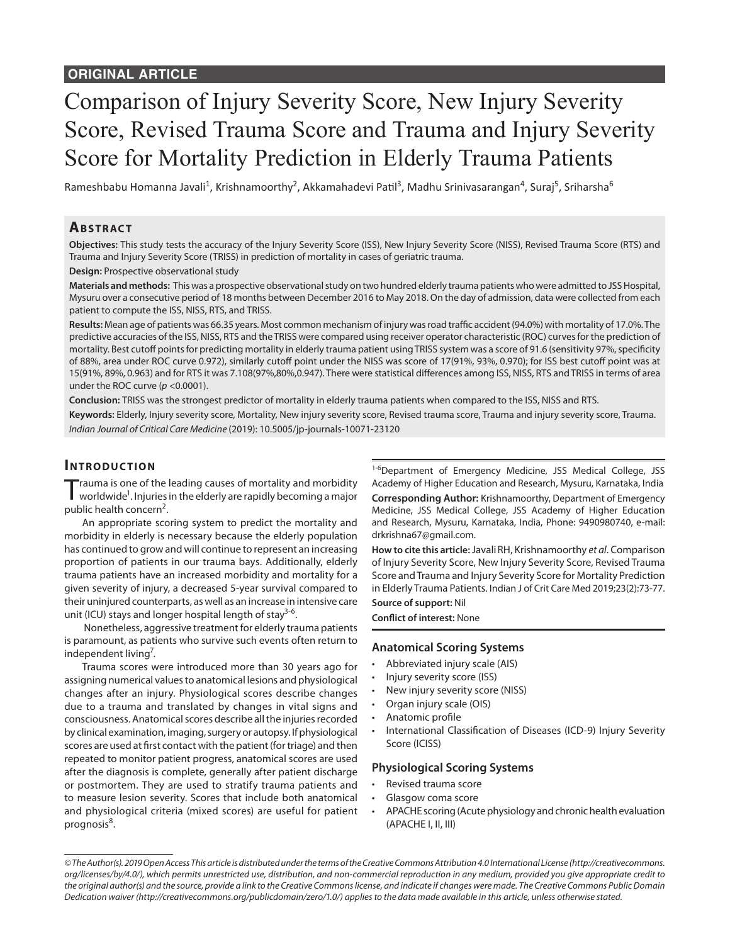# Comparison of Injury Severity Score, New Injury Severity Score, Revised Trauma Score and Trauma and Injury Severity Score for Mortality Prediction in Elderly Trauma Patients

Rameshbabu Homanna Javali<sup>1</sup>, Krishnamoorthy<sup>2</sup>, Akkamahadevi Patil<sup>3</sup>, Madhu Srinivasarangan<sup>4</sup>, Suraj<sup>5</sup>, Sriharsha<sup>6</sup>

# **ABSTRACT**

**Objectives:** This study tests the accuracy of the Injury Severity Score (ISS), New Injury Severity Score (NISS), Revised Trauma Score (RTS) and Trauma and Injury Severity Score (TRISS) in prediction of mortality in cases of geriatric trauma.

**Design:** Prospective observational study

**Materials and methods:** This was a prospective observational study on two hundred elderly trauma patients who were admitted to JSS Hospital, Mysuru over a consecutive period of 18 months between December 2016 to May 2018. On the day of admission, data were collected from each patient to compute the ISS, NISS, RTS, and TRISS.

**Results:** Mean age of patients was 66.35 years. Most common mechanism of injury was road traffic accident (94.0%) with mortality of 17.0%. The predictive accuracies of the ISS, NISS, RTS and the TRISS were compared using receiver operator characteristic (ROC) curves for the prediction of mortality. Best cutoff points for predicting mortality in elderly trauma patient using TRISS system was a score of 91.6 (sensitivity 97%, specificity of 88%, area under ROC curve 0.972), similarly cutoff point under the NISS was score of 17(91%, 93%, 0.970); for ISS best cutoff point was at 15(91%, 89%, 0.963) and for RTS it was 7.108(97%,80%,0.947). There were statistical differences among ISS, NISS, RTS and TRISS in terms of area under the ROC curve (*p* <0.0001).

**Conclusion:** TRISS was the strongest predictor of mortality in elderly trauma patients when compared to the ISS, NISS and RTS.

**Keywords:** Elderly, Injury severity score, Mortality, New injury severity score, Revised trauma score, Trauma and injury severity score, Trauma. *Indian Journal of Critical Care Medicine* (2019): 10.5005/jp-journals-10071-23120

# **INTRODUCTION**

rauma is one of the leading causes of mortality and morbidity worldwide<sup>1</sup>. Injuries in the elderly are rapidly becoming a major public health concern<sup>2</sup>.

An appropriate scoring system to predict the mortality and morbidity in elderly is necessary because the elderly population has continued to grow and will continue to represent an increasing proportion of patients in our trauma bays. Additionally, elderly trauma patients have an increased morbidity and mortality for a given severity of injury, a decreased 5-year survival compared to their uninjured counterparts, as well as an increase in intensive care unit (ICU) stays and longer hospital length of stay<sup>3-6</sup>.

 Nonetheless, aggressive treatment for elderly trauma patients is paramount, as patients who survive such events often return to independent living<sup>7</sup>.

Trauma scores were introduced more than 30 years ago for assigning numerical values to anatomical lesions and physiological changes after an injury. Physiological scores describe changes due to a trauma and translated by changes in vital signs and consciousness. Anatomical scores describe all the injuries recorded by clinical examination, imaging, surgery or autopsy. If physiological scores are used at first contact with the patient (for triage) and then repeated to monitor patient progress, anatomical scores are used after the diagnosis is complete, generally after patient discharge or postmortem. They are used to stratify trauma patients and to measure lesion severity. Scores that include both anatomical and physiological criteria (mixed scores) are useful for patient prognosis<sup>8</sup>.

<sup>1-6</sup>Department of Emergency Medicine, JSS Medical College, JSS Academy of Higher Education and Research, Mysuru, Karnataka, India

**Corresponding Author:** Krishnamoorthy, Department of Emergency Medicine, JSS Medical College, JSS Academy of Higher Education and Research, Mysuru, Karnataka, India, Phone: 9490980740, e-mail: drkrishna67@gmail.com.

**How to cite this article:** JavaliRH, Krishnamoorthy *et al*. Comparison of Injury Severity Score, New Injury Severity Score, Revised Trauma Score and Trauma and Injury Severity Score for Mortality Prediction in Elderly Trauma Patients. Indian J of Crit Care Med 2019;23(2):73-77.

#### **Source of support:** Nil **Conflict of interest:** None

#### **Anatomical Scoring Systems**

- Abbreviated injury scale (AIS)
- Injury severity score (ISS)
- New injury severity score (NISS)
- Organ injury scale (OIS)
- Anatomic profile
- International Classification of Diseases (ICD-9) Injury Severity Score (ICISS)

#### **Physiological Scoring Systems**

- Revised trauma score
- Glasgow coma score
- APACHE scoring (Acute physiology and chronic health evaluation (APACHE I, II, III)

*<sup>©</sup> The Author(s). 2019 Open Access This article is distributed under the terms of the Creative Commons Attribution 4.0 International License (http://creativecommons. org/licenses/by/4.0/), which permits unrestricted use, distribution, and non-commercial reproduction in any medium, provided you give appropriate credit to the original author(s) and the source, provide a link to the Creative Commons license, and indicate if changes were made. The Creative Commons Public Domain Dedication waiver (http://creativecommons.org/publicdomain/zero/1.0/) applies to the data made available in this article, unless otherwise stated.*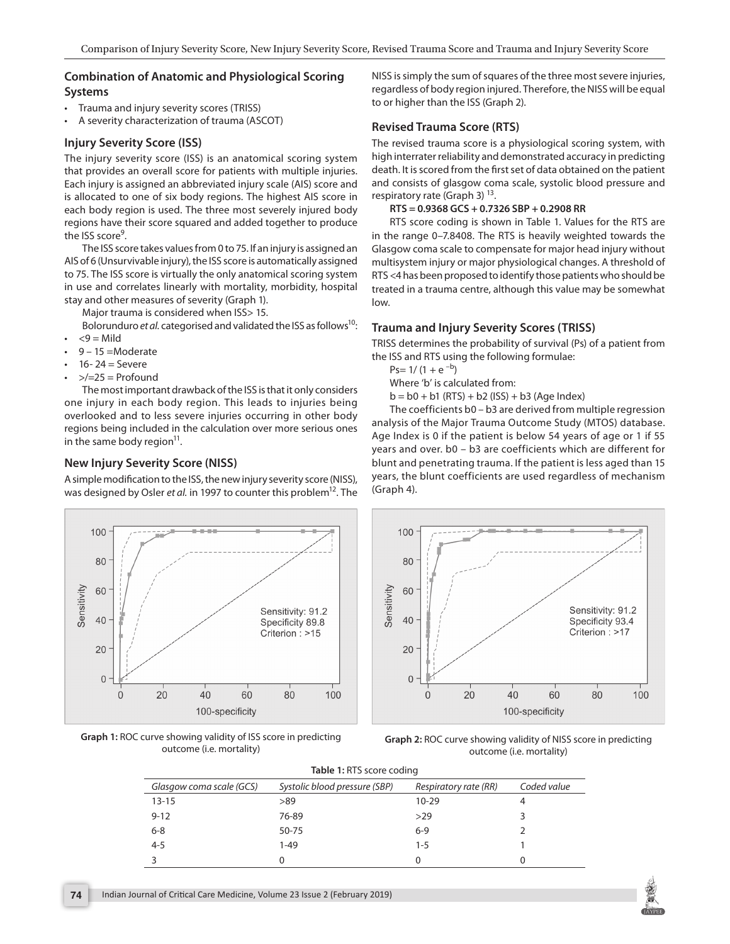### **Combination of Anatomic and Physiological Scoring Systems**

- Trauma and injury severity scores (TRISS)
- A severity characterization of trauma (ASCOT)

### **Injury Severity Score (ISS)**

The injury severity score (ISS) is an anatomical scoring system that provides an overall score for patients with multiple injuries. Each injury is assigned an abbreviated injury scale (AIS) score and is allocated to one of six body regions. The highest AIS score in each body region is used. The three most severely injured body regions have their score squared and added together to produce the ISS score<sup>9</sup>.

The ISS score takes values from 0 to 75. If an injury is assigned an AIS of 6 (Unsurvivable injury), the ISS score is automatically assigned to 75. The ISS score is virtually the only anatomical scoring system in use and correlates linearly with mortality, morbidity, hospital stay and other measures of severity (Graph 1).

Major trauma is considered when ISS> 15.

Bolorunduro *et al.* categorised and validated the ISS as follows<sup>10</sup>:

- $<$ 9 = Mild
- 9 15 =Moderate
- $16 24 =$  Severe
- $>$ / $=$ 25 = Profound

The most important drawback of the ISS is that it only considers one injury in each body region. This leads to injuries being overlooked and to less severe injuries occurring in other body regions being included in the calculation over more serious ones in the same body region $11$ .

## **New Injury Severity Score (NISS)**

A simple modification to the ISS, the new injury severity score (NISS), was designed by Osler *et al.* in 1997 to counter this problem<sup>12</sup>. The



**Graph 1:** ROC curve showing validity of ISS score in predicting outcome (i.e. mortality)

NISS is simply the sum of squares of the three most severe injuries, regardless of body region injured. Therefore, the NISS will be equal to or higher than the ISS (Graph 2).

## **Revised Trauma Score (RTS)**

The revised trauma score is a physiological scoring system, with high interrater reliability and demonstrated accuracy in predicting death. It is scored from the first set of data obtained on the patient and consists of glasgow coma scale, systolic blood pressure and respiratory rate (Graph 3)  $^{13}$ .

#### **RTS = 0.9368 GCS + 0.7326 SBP + 0.2908 RR**

RTS score coding is shown in Table 1. Values for the RTS are in the range 0–7.8408. The RTS is heavily weighted towards the Glasgow coma scale to compensate for major head injury without multisystem injury or major physiological changes. A threshold of RTS <4 has been proposed to identify those patients who should be treated in a trauma centre, although this value may be somewhat low.

### **Trauma and Injury Severity Scores (TRISS)**

TRISS determines the probability of survival (Ps) of a patient from the ISS and RTS using the following formulae:

 $Ps= 1/(1 + e^{-b})$ 

Where 'b' is calculated from:

 $b = b0 + b1$  (RTS) + b2 (ISS) + b3 (Age Index)

The coefficients b0 – b3 are derived from multiple regression analysis of the Major Trauma Outcome Study (MTOS) database. Age Index is 0 if the patient is below 54 years of age or 1 if 55 years and over. b0 – b3 are coefficients which are different for blunt and penetrating trauma. If the patient is less aged than 15 years, the blunt coefficients are used regardless of mechanism (Graph 4).



**Graph 2:** ROC curve showing validity of NISS score in predicting outcome (i.e. mortality)

| Table 1: RTS score coding |                               |                       |             |  |  |
|---------------------------|-------------------------------|-----------------------|-------------|--|--|
| Glasgow coma scale (GCS)  | Systolic blood pressure (SBP) | Respiratory rate (RR) | Coded value |  |  |
| $13 - 15$                 | >89                           | $10 - 29$             |             |  |  |
| $9 - 12$                  | 76-89                         | >29                   |             |  |  |
| $6 - 8$                   | 50-75                         | $6-9$                 |             |  |  |
| $4 - 5$                   | $1 - 49$                      | $1 - 5$               |             |  |  |
|                           |                               | 0                     |             |  |  |

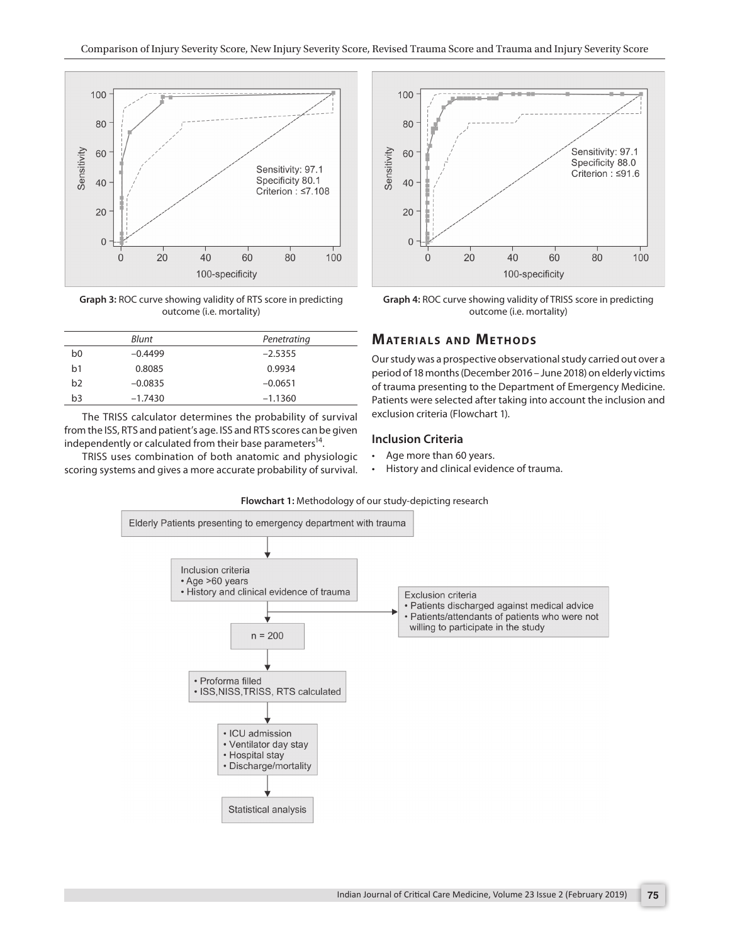

**Graph 3:** ROC curve showing validity of RTS score in predicting outcome (i.e. mortality)

| Blunt          |           | Penetrating |
|----------------|-----------|-------------|
| b0             | $-0.4499$ | $-2.5355$   |
| b1             | 0.8085    | 0.9934      |
| b <sub>2</sub> | $-0.0835$ | $-0.0651$   |
| b3             | $-1.7430$ | $-1.1360$   |

The TRISS calculator determines the probability of survival from the ISS, RTS and patient's age. ISS and RTS scores can be given independently or calculated from their base parameters<sup>14</sup>.

TRISS uses combination of both anatomic and physiologic scoring systems and gives a more accurate probability of survival.



**Graph 4:** ROC curve showing validity of TRISS score in predicting outcome (i.e. mortality)

## **MATERIALS AND METHODS**

Our study was a prospective observational study carried out over a period of 18 months (December 2016 – June 2018) on elderly victims of trauma presenting to the Department of Emergency Medicine. Patients were selected after taking into account the inclusion and exclusion criteria (Flowchart 1).

# **Inclusion Criteria**

- Age more than 60 years.
- History and clinical evidence of trauma.



**Flowchart 1:** Methodology of our study-depicting research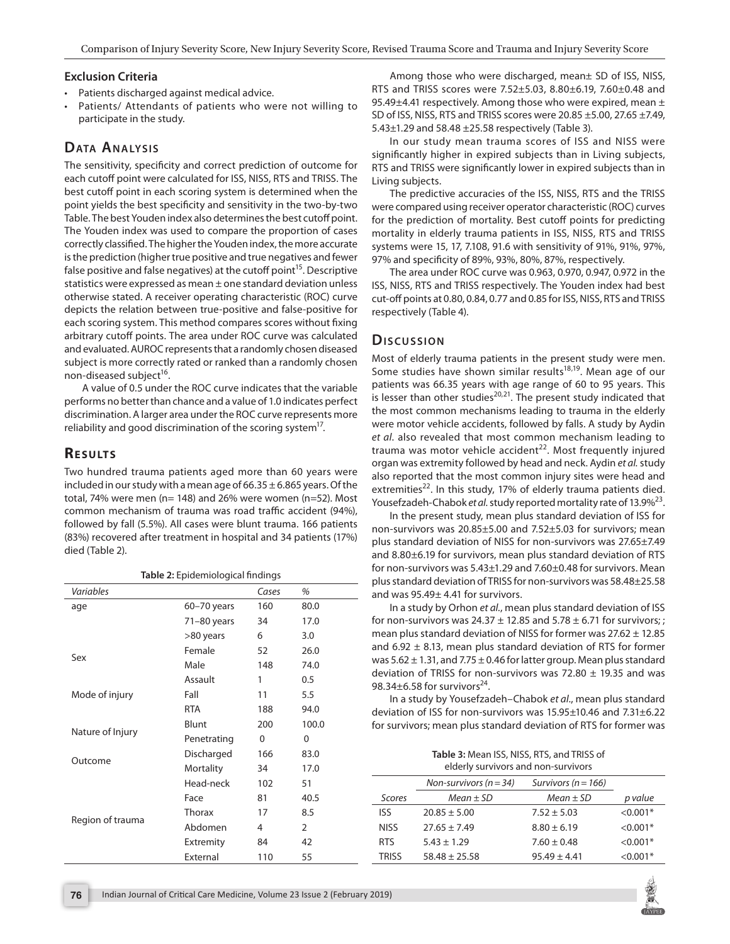#### **Exclusion Criteria**

- Patients discharged against medical advice.
- Patients/ Attendants of patients who were not willing to participate in the study.

# **DATA ANALYSIS**

The sensitivity, specificity and correct prediction of outcome for each cutoff point were calculated for ISS, NISS, RTS and TRISS. The best cutoff point in each scoring system is determined when the point yields the best specificity and sensitivity in the two-by-two Table. The best Youden index also determines the best cutoff point. The Youden index was used to compare the proportion of cases correctly classified. The higher the Youden index, the more accurate is the prediction (higher true positive and true negatives and fewer false positive and false negatives) at the cutoff point<sup>15</sup>. Descriptive statistics were expressed as mean ± one standard deviation unless otherwise stated. A receiver operating characteristic (ROC) curve depicts the relation between true-positive and false-positive for each scoring system. This method compares scores without fixing arbitrary cutoff points. The area under ROC curve was calculated and evaluated. AUROC represents that a randomly chosen diseased subject is more correctly rated or ranked than a randomly chosen non-diseased subject<sup>16</sup>.

A value of 0.5 under the ROC curve indicates that the variable performs no better than chance and a value of 1.0 indicates perfect discrimination. A larger area under the ROC curve represents more reliability and good discrimination of the scoring system<sup>17</sup>.

# **RESULTS**

Two hundred trauma patients aged more than 60 years were included in our study with a mean age of  $66.35 \pm 6.865$  years. Of the total, 74% were men (n= 148) and 26% were women (n=52). Most common mechanism of trauma was road traffic accident (94%), followed by fall (5.5%). All cases were blunt trauma. 166 patients (83%) recovered after treatment in hospital and 34 patients (17%) died (Table 2).

| Table 2: Epidemiological findings |               |       |                |  |
|-----------------------------------|---------------|-------|----------------|--|
| Variables                         |               | Cases | %              |  |
| age                               | 60-70 years   | 160   | 80.0           |  |
|                                   | $71-80$ years | 34    | 17.0           |  |
|                                   | >80 years     | 6     | 3.0            |  |
|                                   | Female        | 52    | 26.0           |  |
| Sex                               | Male          | 148   | 74.0           |  |
|                                   | Assault       | 1     | 0.5            |  |
| Mode of injury                    | Fall          | 11    | 5.5            |  |
|                                   | <b>RTA</b>    | 188   | 94.0           |  |
|                                   | Blunt         | 200   | 100.0          |  |
| Nature of Injury                  | Penetrating   | 0     | 0              |  |
|                                   | Discharged    | 166   | 83.0           |  |
| Outcome                           | Mortality     | 34    | 17.0           |  |
|                                   | Head-neck     | 102   | 51             |  |
|                                   | Face          | 81    | 40.5           |  |
|                                   | Thorax        | 17    | 8.5            |  |
| Region of trauma                  | Abdomen       | 4     | $\overline{2}$ |  |
|                                   | Extremity     | 84    | 42             |  |
|                                   | External      | 110   | 55             |  |

Among those who were discharged, mean± SD of ISS, NISS, RTS and TRISS scores were 7.52±5.03, 8.80±6.19, 7.60±0.48 and 95.49 $\pm$ 4.41 respectively. Among those who were expired, mean  $\pm$ SD of ISS, NISS, RTS and TRISS scores were 20.85 ±5.00, 27.65 ±7.49, 5.43±1.29 and 58.48 ±25.58 respectively (Table 3).

In our study mean trauma scores of ISS and NISS were significantly higher in expired subjects than in Living subjects, RTS and TRISS were significantly lower in expired subjects than in Living subjects.

The predictive accuracies of the ISS, NISS, RTS and the TRISS were compared using receiver operator characteristic (ROC) curves for the prediction of mortality. Best cutoff points for predicting mortality in elderly trauma patients in ISS, NISS, RTS and TRISS systems were 15, 17, 7.108, 91.6 with sensitivity of 91%, 91%, 97%, 97% and specificity of 89%, 93%, 80%, 87%, respectively.

The area under ROC curve was 0.963, 0.970, 0.947, 0.972 in the ISS, NISS, RTS and TRISS respectively. The Youden index had best cut-off points at 0.80, 0.84, 0.77 and 0.85 for ISS, NISS, RTS and TRISS respectively (Table 4).

## Discussion

Most of elderly trauma patients in the present study were men. Some studies have shown similar results<sup>18,19</sup>. Mean age of our patients was 66.35 years with age range of 60 to 95 years. This is lesser than other studies $^{20,21}$ . The present study indicated that the most common mechanisms leading to trauma in the elderly were motor vehicle accidents, followed by falls. A study by Aydin *et al*. also revealed that most common mechanism leading to trauma was motor vehicle accident<sup>22</sup>. Most frequently injured organ was extremity followed by head and neck. Aydin *et al.* study also reported that the most common injury sites were head and extremities<sup>22</sup>. In this study, 17% of elderly trauma patients died. Yousefzadeh-Chabok *et al.* study reported mortality rate of 13.9%<sup>23</sup>.

In the present study, mean plus standard deviation of ISS for non-survivors was 20.85±5.00 and 7.52±5.03 for survivors; mean plus standard deviation of NISS for non-survivors was 27.65±7.49 and 8.80±6.19 for survivors, mean plus standard deviation of RTS for non-survivors was 5.43±1.29 and 7.60±0.48 for survivors. Mean plus standard deviation of TRISS for non-survivors was 58.48±25.58 and was 95.49± 4.41 for survivors.

In a study by Orhon *et al.*, mean plus standard deviation of ISS for non-survivors was  $24.37 \pm 12.85$  and  $5.78 \pm 6.71$  for survivors; ; mean plus standard deviation of NISS for former was  $27.62 \pm 12.85$ and 6.92  $\pm$  8.13, mean plus standard deviation of RTS for former was  $5.62 \pm 1.31$ , and  $7.75 \pm 0.46$  for latter group. Mean plus standard deviation of TRISS for non-survivors was 72.80  $\pm$  19.35 and was 98.34 $\pm$ 6.58 for survivors<sup>24</sup>.

In a study by Yousefzadeh–Chabok *et al*., mean plus standard deviation of ISS for non-survivors was 15.95±10.46 and 7.31±6.22 for survivors; mean plus standard deviation of RTS for former was

**Table 3:** Mean ISS, NISS, RTS, and TRISS of

| elderly survivors and non-survivors |                                                       |                  |            |  |
|-------------------------------------|-------------------------------------------------------|------------------|------------|--|
|                                     | Non-survivors ( $n = 34$ )<br>Survivors ( $n = 166$ ) |                  |            |  |
| Scores                              | $Mean \pm SD$                                         | $Mean \pm SD$    | p value    |  |
| <b>ISS</b>                          | $20.85 \pm 5.00$                                      | $7.52 \pm 5.03$  | $< 0.001*$ |  |
| <b>NISS</b>                         | $27.65 \pm 7.49$                                      | $8.80 \pm 6.19$  | $< 0.001*$ |  |
| <b>RTS</b>                          | $5.43 \pm 1.29$                                       | $7.60 \pm 0.48$  | $< 0.001*$ |  |
| <b>TRISS</b>                        | $58.48 \pm 25.58$                                     | $95.49 \pm 4.41$ | $< 0.001*$ |  |